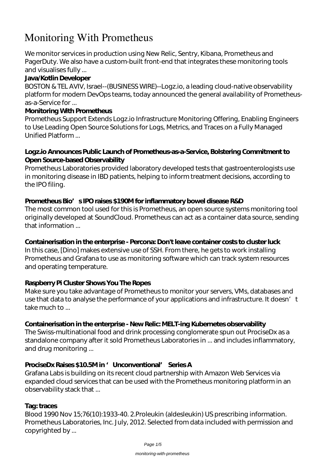# **Monitoring With Prometheus**

We monitor services in production using New Relic, Sentry, Kibana, Prometheus and PagerDuty. We also have a custom-built front-end that integrates these monitoring tools and visualises fully ...

# **Java/Kotlin Developer**

BOSTON & TEL AVIV, Israel--(BUSINESS WIRE)--Logz.io, a leading cloud-native observability platform for modern DevOps teams, today announced the general availability of Prometheusas-a-Service for ...

## **Monitoring With Prometheus**

Prometheus Support Extends Logz.io Infrastructure Monitoring Offering, Enabling Engineers to Use Leading Open Source Solutions for Logs, Metrics, and Traces on a Fully Managed Unified Platform ...

## **Logz.io Announces Public Launch of Prometheus-as-a-Service, Bolstering Commitment to Open Source-based Observability**

Prometheus Laboratories provided laboratory developed tests that gastroenterologists use in monitoring disease in IBD patients, helping to inform treatment decisions, according to the IPO filing.

# Prometheus Bio<sup>'</sup>s IPO raises \$190M for inflammatory bowel disease R&D

The most common tool used for this is Prometheus, an open source systems monitoring tool originally developed at SoundCloud. Prometheus can act as a container data source, sending that information ...

#### **Containerisation in the enterprise - Percona: Don't leave container costs to cluster luck**

In this case, [Dino] makes extensive use of SSH. From there, he gets to work installing Prometheus and Grafana to use as monitoring software which can track system resources and operating temperature.

# **Raspberry Pi Cluster Shows You The Ropes**

Make sure you take advantage of Prometheus to monitor your servers, VMs, databases and use that data to analyse the performance of your applications and infrastructure. It doesn't take much to ...

# **Containerisation in the enterprise - New Relic: MELT-ing Kubernetes observability**

The Swiss-multinational food and drink processing conglomerate spun out ProciseDx as a standalone company after it sold Prometheus Laboratories in ... and includes inflammatory, and drug monitoring ...

# ProciseDx Raises \$10.5Min ' Unconventional' Series A

Grafana Labs is building on its recent cloud partnership with Amazon Web Services via expanded cloud services that can be used with the Prometheus monitoring platform in an observability stack that ...

#### **Tag: traces**

Blood 1990 Nov 15;76(10):1933-40. 2.Proleukin (aldesleukin) US prescribing information. Prometheus Laboratories, Inc. July, 2012. Selected from data included with permission and copyrighted by ...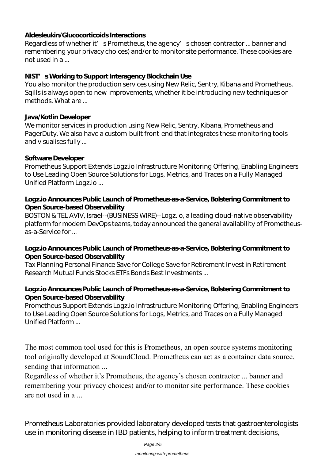#### **Aldesleukin/Glucocorticoids Interactions**

Regardless of whether it' s Prometheus, the agency' s chosen contractor ... banner and remembering your privacy choices) and/or to monitor site performance. These cookies are not used in a ...

#### **NIST's Working to Support Interagency Blockchain Use**

You also monitor the production services using New Relic, Sentry, Kibana and Prometheus. Sqills is always open to new improvements, whether it be introducing new techniques or methods. What are ...

#### **Java/Kotlin Developer**

We monitor services in production using New Relic, Sentry, Kibana, Prometheus and PagerDuty. We also have a custom-built front-end that integrates these monitoring tools and visualises fully ...

#### **Software Developer**

Prometheus Support Extends Logz.io Infrastructure Monitoring Offering, Enabling Engineers to Use Leading Open Source Solutions for Logs, Metrics, and Traces on a Fully Managed Unified Platform Logz.io ...

#### **Logz.io Announces Public Launch of Prometheus-as-a-Service, Bolstering Commitment to Open Source-based Observability**

BOSTON & TEL AVIV, Israel--(BUSINESS WIRE)--Logz.io, a leading cloud-native observability platform for modern DevOps teams, today announced the general availability of Prometheusas-a-Service for ...

#### **Logz.io Announces Public Launch of Prometheus-as-a-Service, Bolstering Commitment to Open Source-based Observability**

Tax Planning Personal Finance Save for College Save for Retirement Invest in Retirement Research Mutual Funds Stocks ETFs Bonds Best Investments ...

#### **Logz.io Announces Public Launch of Prometheus-as-a-Service, Bolstering Commitment to Open Source-based Observability**

Prometheus Support Extends Logz.io Infrastructure Monitoring Offering, Enabling Engineers to Use Leading Open Source Solutions for Logs, Metrics, and Traces on a Fully Managed Unified Platform ...

The most common tool used for this is Prometheus, an open source systems monitoring tool originally developed at SoundCloud. Prometheus can act as a container data source, sending that information ...

Regardless of whether it's Prometheus, the agency's chosen contractor ... banner and remembering your privacy choices) and/or to monitor site performance. These cookies are not used in a ...

Prometheus Laboratories provided laboratory developed tests that gastroenterologists use in monitoring disease in IBD patients, helping to inform treatment decisions,

Page 2/5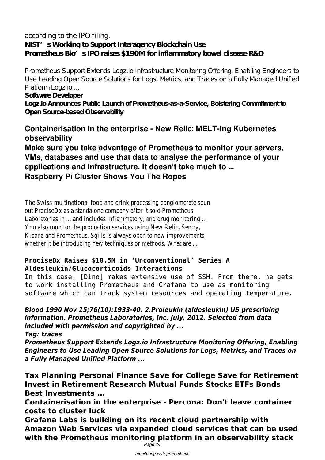# according to the IPO filing. **NIST's Working to Support Interagency Blockchain Use Prometheus Bio's IPO raises \$190M for inflammatory bowel disease R&D**

Prometheus Support Extends Logz.io Infrastructure Monitoring Offering, Enabling Engineers to Use Leading Open Source Solutions for Logs, Metrics, and Traces on a Fully Managed Unified Platform Logz.io ...

**Software Developer**

**Logz.io Announces Public Launch of Prometheus-as-a-Service, Bolstering Commitment to Open Source-based Observability**

# **Containerisation in the enterprise - New Relic: MELT-ing Kubernetes observability**

**Make sure you take advantage of Prometheus to monitor your servers, VMs, databases and use that data to analyse the performance of your applications and infrastructure. It doesn't take much to ... Raspberry Pi Cluster Shows You The Ropes**

The Swiss-multinational food and drink processing conglomerate spun out ProciseDx as a standalone company after it sold Prometheus Laboratories in ... and includes inflammatory, and drug monitoring ... You also monitor the production services using New Relic, Sentry, Kibana and Prometheus. Sqills is always open to new improvements, whether it be introducing new techniques or methods. What are ...

# **ProciseDx Raises \$10.5M in 'Unconventional' Series A Aldesleukin/Glucocorticoids Interactions**

In this case, [Dino] makes extensive use of SSH. From there, he gets to work installing Prometheus and Grafana to use as monitoring software which can track system resources and operating temperature.

*Blood 1990 Nov 15;76(10):1933-40. 2.Proleukin (aldesleukin) US prescribing information. Prometheus Laboratories, Inc. July, 2012. Selected from data included with permission and copyrighted by ...*

*Tag: traces*

*Prometheus Support Extends Logz.io Infrastructure Monitoring Offering, Enabling Engineers to Use Leading Open Source Solutions for Logs, Metrics, and Traces on a Fully Managed Unified Platform ...*

**Tax Planning Personal Finance Save for College Save for Retirement Invest in Retirement Research Mutual Funds Stocks ETFs Bonds Best Investments ...**

**Containerisation in the enterprise - Percona: Don't leave container costs to cluster luck**

**Grafana Labs is building on its recent cloud partnership with Amazon Web Services via expanded cloud services that can be used with the Prometheus monitoring platform in an observability stack** Page 3/5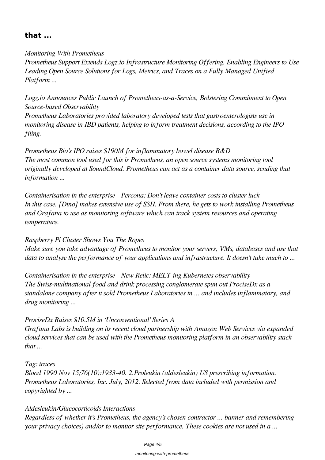# **that ...**

*Monitoring With Prometheus Prometheus Support Extends Logz.io Infrastructure Monitoring Offering, Enabling Engineers to Use Leading Open Source Solutions for Logs, Metrics, and Traces on a Fully Managed Unified Platform ...*

*Logz.io Announces Public Launch of Prometheus-as-a-Service, Bolstering Commitment to Open Source-based Observability*

*Prometheus Laboratories provided laboratory developed tests that gastroenterologists use in monitoring disease in IBD patients, helping to inform treatment decisions, according to the IPO filing.*

*Prometheus Bio's IPO raises \$190M for inflammatory bowel disease R&D The most common tool used for this is Prometheus, an open source systems monitoring tool originally developed at SoundCloud. Prometheus can act as a container data source, sending that information ...*

*Containerisation in the enterprise - Percona: Don't leave container costs to cluster luck In this case, [Dino] makes extensive use of SSH. From there, he gets to work installing Prometheus and Grafana to use as monitoring software which can track system resources and operating temperature.*

*Raspberry Pi Cluster Shows You The Ropes*

*Make sure you take advantage of Prometheus to monitor your servers, VMs, databases and use that data to analyse the performance of your applications and infrastructure. It doesn't take much to ...*

*Containerisation in the enterprise - New Relic: MELT-ing Kubernetes observability The Swiss-multinational food and drink processing conglomerate spun out ProciseDx as a standalone company after it sold Prometheus Laboratories in ... and includes inflammatory, and drug monitoring ...*

# *ProciseDx Raises \$10.5M in 'Unconventional' Series A*

*Grafana Labs is building on its recent cloud partnership with Amazon Web Services via expanded cloud services that can be used with the Prometheus monitoring platform in an observability stack that ...*

*Tag: traces*

*Blood 1990 Nov 15;76(10):1933-40. 2.Proleukin (aldesleukin) US prescribing information. Prometheus Laboratories, Inc. July, 2012. Selected from data included with permission and copyrighted by ...*

# *Aldesleukin/Glucocorticoids Interactions*

*Regardless of whether it's Prometheus, the agency's chosen contractor ... banner and remembering your privacy choices) and/or to monitor site performance. These cookies are not used in a ...*

#### monitoring-with-prometheus